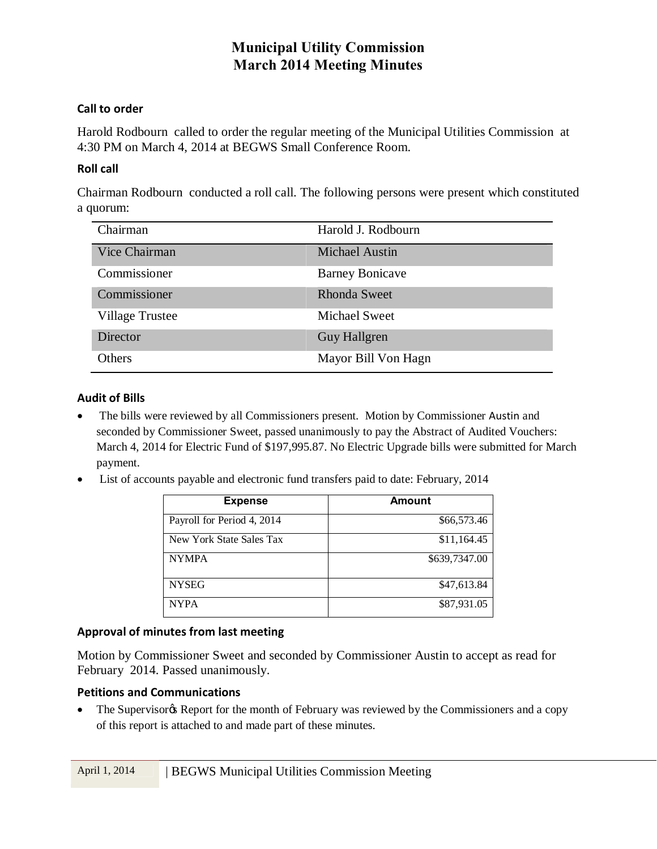### **Call to order**

Harold Rodbourn called to order the regular meeting of the Municipal Utilities Commission at 4:30 PM on March 4, 2014 at BEGWS Small Conference Room.

#### **Roll call**

Chairman Rodbourn conducted a roll call. The following persons were present which constituted a quorum:

| Chairman               | Harold J. Rodbourn     |
|------------------------|------------------------|
| Vice Chairman          | <b>Michael Austin</b>  |
| Commissioner           | <b>Barney Bonicave</b> |
| Commissioner           | <b>Rhonda Sweet</b>    |
| <b>Village Trustee</b> | <b>Michael Sweet</b>   |
| Director               | <b>Guy Hallgren</b>    |
| Others                 | Mayor Bill Von Hagn    |

#### **Audit of Bills**

- · The bills were reviewed by all Commissioners present. Motion by Commissioner Austin and seconded by Commissioner Sweet, passed unanimously to pay the Abstract of Audited Vouchers: March 4, 2014 for Electric Fund of \$197,995.87. No Electric Upgrade bills were submitted for March payment.
- · List of accounts payable and electronic fund transfers paid to date: February, 2014

| <b>Expense</b>             | Amount        |
|----------------------------|---------------|
| Payroll for Period 4, 2014 | \$66,573.46   |
| New York State Sales Tax   | \$11,164.45   |
| <b>NYMPA</b>               | \$639,7347.00 |
| <b>NYSEG</b>               | \$47,613.84   |
| <b>NYPA</b>                | \$87,931.05   |

#### **Approval of minutes from last meeting**

Motion by Commissioner Sweet and seconded by Commissioner Austin to accept as read for February 2014. Passed unanimously.

#### **Petitions and Communications**

• The Supervisor & Report for the month of February was reviewed by the Commissioners and a copy of this report is attached to and made part of these minutes.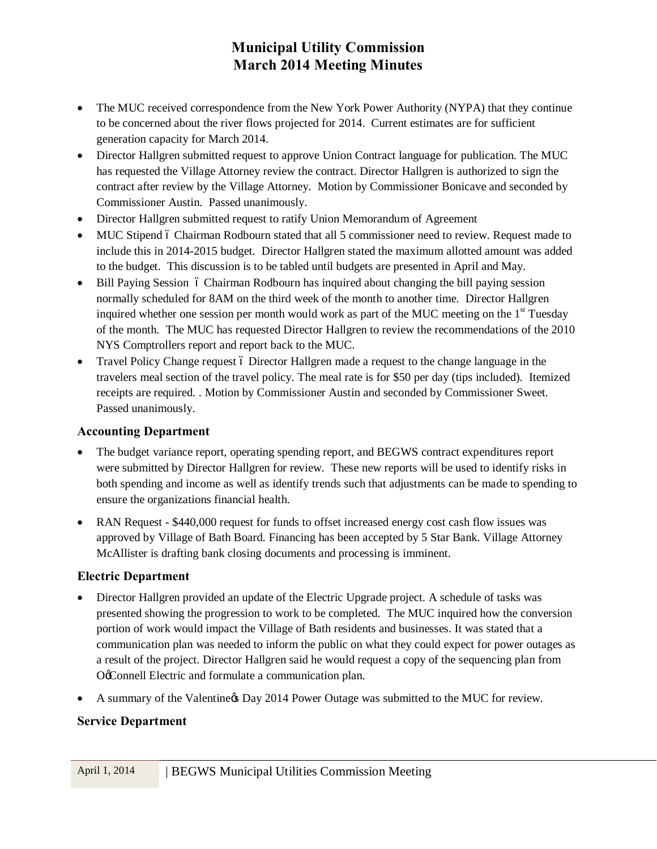- The MUC received correspondence from the New York Power Authority (NYPA) that they continue to be concerned about the river flows projected for 2014. Current estimates are for sufficient generation capacity for March 2014.
- · Director Hallgren submitted request to approve Union Contract language for publication. The MUC has requested the Village Attorney review the contract. Director Hallgren is authorized to sign the contract after review by the Village Attorney. Motion by Commissioner Bonicave and seconded by Commissioner Austin. Passed unanimously.
- · Director Hallgren submitted request to ratify Union Memorandum of Agreement
- MUC Stipend 6 Chairman Rodbourn stated that all 5 commissioner need to review. Request made to include this in 2014-2015 budget. Director Hallgren stated the maximum allotted amount was added to the budget. This discussion is to be tabled until budgets are presented in April and May.
- Bill Paying Session Chairman Rodbourn has inquired about changing the bill paying session normally scheduled for 8AM on the third week of the month to another time. Director Hallgren inquired whether one session per month would work as part of the MUC meeting on the  $1<sup>st</sup>$  Tuesday of the month. The MUC has requested Director Hallgren to review the recommendations of the 2010 NYS Comptrollers report and report back to the MUC.
- Travel Policy Change request 6 Director Hallgren made a request to the change language in the travelers meal section of the travel policy. The meal rate is for \$50 per day (tips included). Itemized receipts are required. . Motion by Commissioner Austin and seconded by Commissioner Sweet. Passed unanimously.

### **Accounting Department**

- · The budget variance report, operating spending report, and BEGWS contract expenditures report were submitted by Director Hallgren for review. These new reports will be used to identify risks in both spending and income as well as identify trends such that adjustments can be made to spending to ensure the organizations financial health.
- RAN Request \$440,000 request for funds to offset increased energy cost cash flow issues was approved by Village of Bath Board. Financing has been accepted by 5 Star Bank. Village Attorney McAllister is drafting bank closing documents and processing is imminent.

### **Electric Department**

- Director Hallgren provided an update of the Electric Upgrade project. A schedule of tasks was presented showing the progression to work to be completed. The MUC inquired how the conversion portion of work would impact the Village of Bath residents and businesses. It was stated that a communication plan was needed to inform the public on what they could expect for power outages as a result of the project. Director Hallgren said he would request a copy of the sequencing plan from Oc Connell Electric and formulate a communication plan.
- A summary of the Valentine & Day 2014 Power Outage was submitted to the MUC for review.

### **Service Department**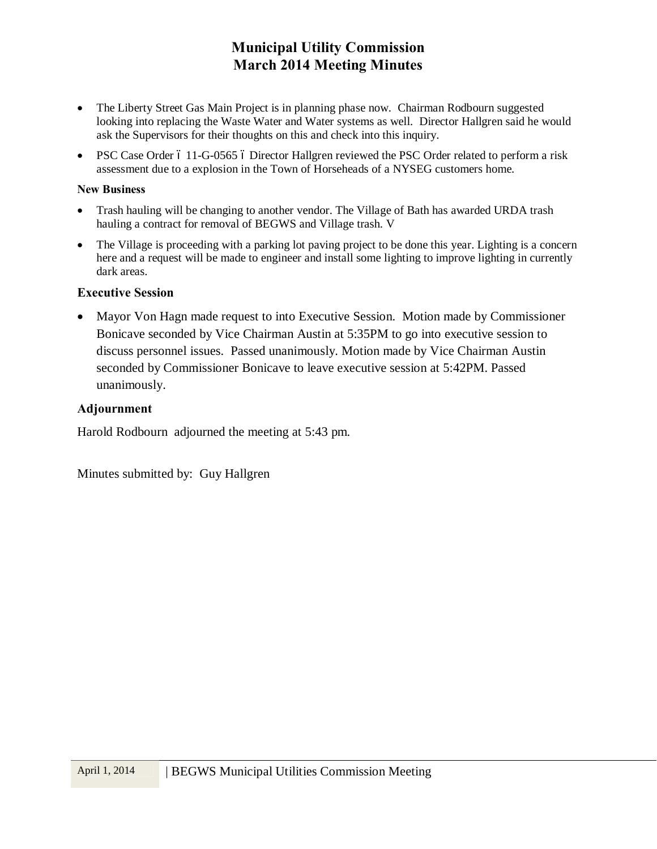- The Liberty Street Gas Main Project is in planning phase now. Chairman Rodbourn suggested looking into replacing the Waste Water and Water systems as well. Director Hallgren said he would ask the Supervisors for their thoughts on this and check into this inquiry.
- PSC Case Order 6 11-G-0565 6 Director Hallgren reviewed the PSC Order related to perform a risk assessment due to a explosion in the Town of Horseheads of a NYSEG customers home.

#### **New Business**

- · Trash hauling will be changing to another vendor. The Village of Bath has awarded URDA trash hauling a contract for removal of BEGWS and Village trash. V
- The Village is proceeding with a parking lot paving project to be done this year. Lighting is a concern here and a request will be made to engineer and install some lighting to improve lighting in currently dark areas.

#### **Executive Session**

· Mayor Von Hagn made request to into Executive Session. Motion made by Commissioner Bonicave seconded by Vice Chairman Austin at 5:35PM to go into executive session to discuss personnel issues. Passed unanimously. Motion made by Vice Chairman Austin seconded by Commissioner Bonicave to leave executive session at 5:42PM. Passed unanimously.

#### **Adjournment**

Harold Rodbourn adjourned the meeting at 5:43 pm.

Minutes submitted by: Guy Hallgren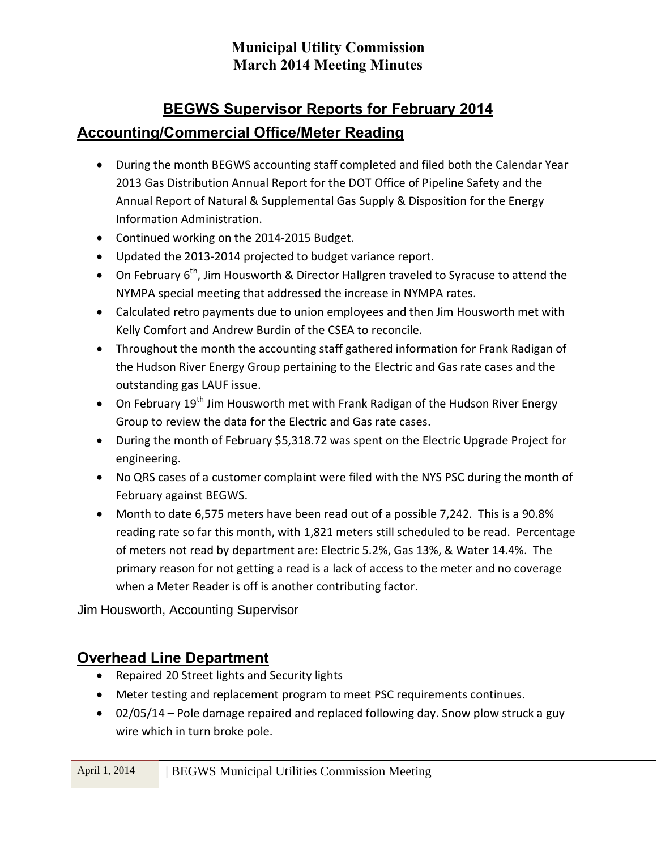# **BEGWS Supervisor Reports for February 2014 Accounting/Commercial Office/Meter Reading**

- · During the month BEGWS accounting staff completed and filed both the Calendar Year 2013 Gas Distribution Annual Report for the DOT Office of Pipeline Safety and the Annual Report of Natural & Supplemental Gas Supply & Disposition for the Energy Information Administration.
- · Continued working on the 2014-2015 Budget.
- · Updated the 2013-2014 projected to budget variance report.
- On February  $6^{th}$ , Jim Housworth & Director Hallgren traveled to Syracuse to attend the NYMPA special meeting that addressed the increase in NYMPA rates.
- · Calculated retro payments due to union employees and then Jim Housworth met with Kelly Comfort and Andrew Burdin of the CSEA to reconcile.
- · Throughout the month the accounting staff gathered information for Frank Radigan of the Hudson River Energy Group pertaining to the Electric and Gas rate cases and the outstanding gas LAUF issue.
- On February 19<sup>th</sup> Jim Housworth met with Frank Radigan of the Hudson River Energy Group to review the data for the Electric and Gas rate cases.
- · During the month of February \$5,318.72 was spent on the Electric Upgrade Project for engineering.
- · No QRS cases of a customer complaint were filed with the NYS PSC during the month of February against BEGWS.
- · Month to date 6,575 meters have been read out of a possible 7,242. This is a 90.8% reading rate so far this month, with 1,821 meters still scheduled to be read. Percentage of meters not read by department are: Electric 5.2%, Gas 13%, & Water 14.4%. The primary reason for not getting a read is a lack of access to the meter and no coverage when a Meter Reader is off is another contributing factor.

Jim Housworth, Accounting Supervisor

## **Overhead Line Department**

- · Repaired 20 Street lights and Security lights
- · Meter testing and replacement program to meet PSC requirements continues.
- · 02/05/14 Pole damage repaired and replaced following day. Snow plow struck a guy wire which in turn broke pole.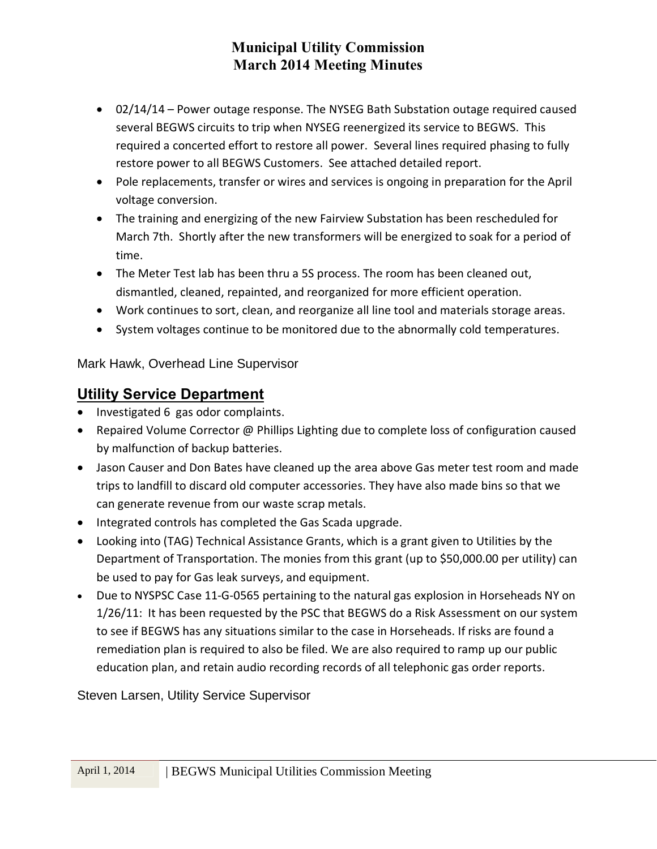- · 02/14/14 Power outage response. The NYSEG Bath Substation outage required caused several BEGWS circuits to trip when NYSEG reenergized its service to BEGWS. This required a concerted effort to restore all power. Several lines required phasing to fully restore power to all BEGWS Customers. See attached detailed report.
- · Pole replacements, transfer or wires and services is ongoing in preparation for the April voltage conversion.
- · The training and energizing of the new Fairview Substation has been rescheduled for March 7th. Shortly after the new transformers will be energized to soak for a period of time.
- The Meter Test lab has been thru a 5S process. The room has been cleaned out, dismantled, cleaned, repainted, and reorganized for more efficient operation.
- · Work continues to sort, clean, and reorganize all line tool and materials storage areas.
- · System voltages continue to be monitored due to the abnormally cold temperatures.

Mark Hawk, Overhead Line Supervisor

### **Utility Service Department**

- · Investigated 6 gas odor complaints.
- · Repaired Volume Corrector @ Phillips Lighting due to complete loss of configuration caused by malfunction of backup batteries.
- · Jason Causer and Don Bates have cleaned up the area above Gas meter test room and made trips to landfill to discard old computer accessories. They have also made bins so that we can generate revenue from our waste scrap metals.
- · Integrated controls has completed the Gas Scada upgrade.
- · Looking into (TAG) Technical Assistance Grants, which is a grant given to Utilities by the Department of Transportation. The monies from this grant (up to \$50,000.00 per utility) can be used to pay for Gas leak surveys, and equipment.
- · Due to NYSPSC Case 11-G-0565 pertaining to the natural gas explosion in Horseheads NY on 1/26/11: It has been requested by the PSC that BEGWS do a Risk Assessment on our system to see if BEGWS has any situations similar to the case in Horseheads. If risks are found a remediation plan is required to also be filed. We are also required to ramp up our public education plan, and retain audio recording records of all telephonic gas order reports.

Steven Larsen, Utility Service Supervisor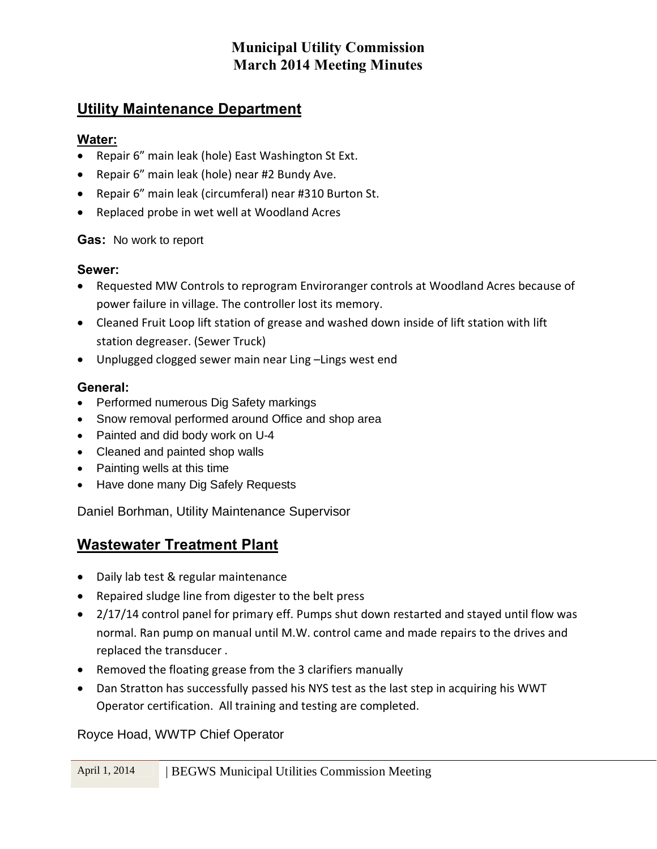### **Utility Maintenance Department**

### **Water:**

- · Repair 6" main leak (hole) East Washington St Ext.
- · Repair 6" main leak (hole) near #2 Bundy Ave.
- · Repair 6" main leak (circumferal) near #310 Burton St.
- · Replaced probe in wet well at Woodland Acres

### **Gas:** No work to report

### **Sewer:**

- · Requested MW Controls to reprogram Enviroranger controls at Woodland Acres because of power failure in village. The controller lost its memory.
- · Cleaned Fruit Loop lift station of grease and washed down inside of lift station with lift station degreaser. (Sewer Truck)
- · Unplugged clogged sewer main near Ling –Lings west end

### **General:**

- · Performed numerous Dig Safety markings
- Snow removal performed around Office and shop area
- · Painted and did body work on U-4
- · Cleaned and painted shop walls
- · Painting wells at this time
- · Have done many Dig Safely Requests

Daniel Borhman, Utility Maintenance Supervisor

# **Wastewater Treatment Plant**

- · Daily lab test & regular maintenance
- · Repaired sludge line from digester to the belt press
- · 2/17/14 control panel for primary eff. Pumps shut down restarted and stayed until flow was normal. Ran pump on manual until M.W. control came and made repairs to the drives and replaced the transducer .
- · Removed the floating grease from the 3 clarifiers manually
- · Dan Stratton has successfully passed his NYS test as the last step in acquiring his WWT Operator certification. All training and testing are completed.

Royce Hoad, WWTP Chief Operator